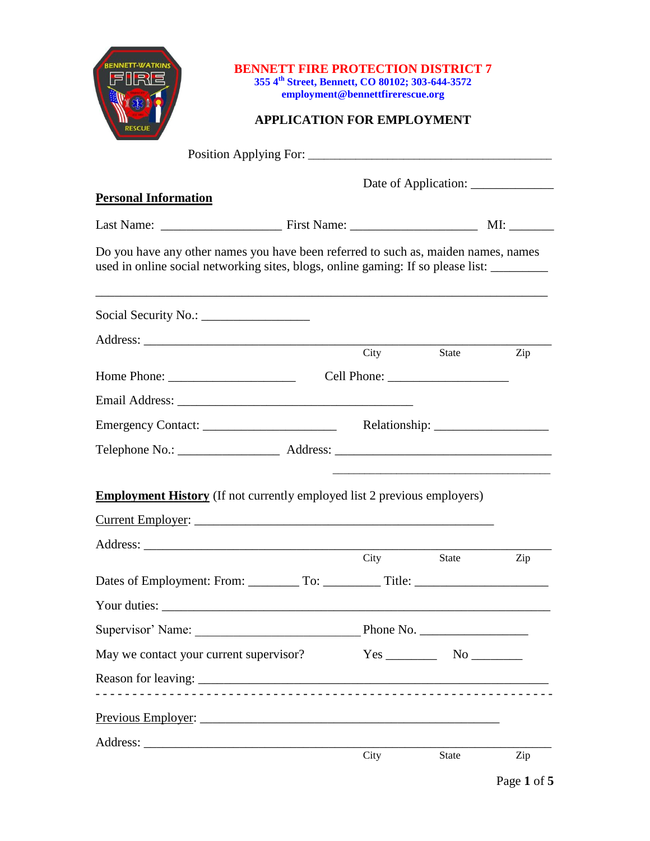|                                                                                                                                                                        |  | 355 4th Street, Bennett, CO 80102; 303-644-3572<br>employment@bennettfirerescue.org<br><b>APPLICATION FOR EMPLOYMENT</b> | <b>BENNETT FIRE PROTECTION DISTRICT 7</b>   |     |
|------------------------------------------------------------------------------------------------------------------------------------------------------------------------|--|--------------------------------------------------------------------------------------------------------------------------|---------------------------------------------|-----|
|                                                                                                                                                                        |  |                                                                                                                          |                                             |     |
| <b>Personal Information</b>                                                                                                                                            |  |                                                                                                                          |                                             |     |
|                                                                                                                                                                        |  |                                                                                                                          |                                             |     |
| Do you have any other names you have been referred to such as, maiden names, names<br>used in online social networking sites, blogs, online gaming: If so please list: |  |                                                                                                                          |                                             |     |
|                                                                                                                                                                        |  |                                                                                                                          |                                             |     |
|                                                                                                                                                                        |  | City                                                                                                                     | State                                       |     |
|                                                                                                                                                                        |  |                                                                                                                          |                                             | Zip |
|                                                                                                                                                                        |  |                                                                                                                          |                                             |     |
|                                                                                                                                                                        |  |                                                                                                                          |                                             |     |
|                                                                                                                                                                        |  |                                                                                                                          |                                             |     |
| <b>Employment History</b> (If not currently employed list 2 previous employers)                                                                                        |  |                                                                                                                          |                                             |     |
|                                                                                                                                                                        |  |                                                                                                                          |                                             |     |
|                                                                                                                                                                        |  |                                                                                                                          |                                             |     |
|                                                                                                                                                                        |  | City                                                                                                                     | State                                       | Zip |
|                                                                                                                                                                        |  |                                                                                                                          |                                             |     |
|                                                                                                                                                                        |  |                                                                                                                          |                                             |     |
|                                                                                                                                                                        |  |                                                                                                                          |                                             |     |
| May we contact your current supervisor?                                                                                                                                |  |                                                                                                                          | $Yes$ No $\_\_\_\_\_\$ No $\_\_\_\_\_\_\_\$ |     |
|                                                                                                                                                                        |  |                                                                                                                          |                                             |     |
|                                                                                                                                                                        |  |                                                                                                                          |                                             |     |
|                                                                                                                                                                        |  |                                                                                                                          |                                             |     |
|                                                                                                                                                                        |  | City                                                                                                                     | State                                       | Zip |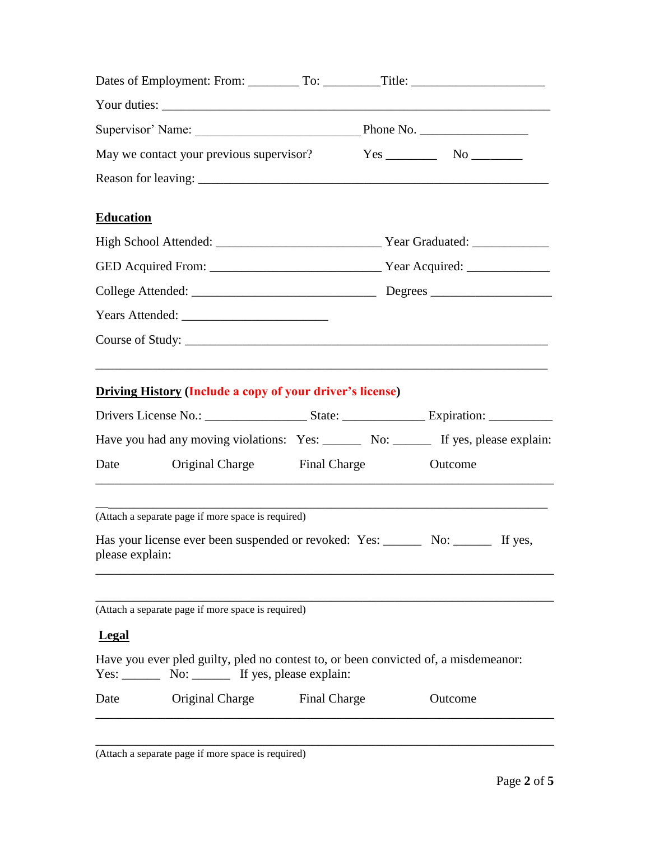| <b>Education</b>                                                                                                                                                                                                                                                                      |  |         |
|---------------------------------------------------------------------------------------------------------------------------------------------------------------------------------------------------------------------------------------------------------------------------------------|--|---------|
|                                                                                                                                                                                                                                                                                       |  |         |
|                                                                                                                                                                                                                                                                                       |  |         |
|                                                                                                                                                                                                                                                                                       |  |         |
|                                                                                                                                                                                                                                                                                       |  |         |
|                                                                                                                                                                                                                                                                                       |  |         |
| <b>Driving History (Include a copy of your driver's license)</b><br>Have you had any moving violations: Yes: ________ No: _______ If yes, please explain:<br>Original Charge Final Charge<br>Date<br>,我们也不会有什么。""我们的人,我们也不会有什么?""我们的人,我们也不会有什么?""我们的人,我们也不会有什么?""我们的人,我们也不会有什么?""我们的人 |  | Outcome |
| (Attach a separate page if more space is required)                                                                                                                                                                                                                                    |  |         |
| please explain:                                                                                                                                                                                                                                                                       |  |         |
| (Attach a separate page if more space is required)                                                                                                                                                                                                                                    |  |         |
| <b>Legal</b>                                                                                                                                                                                                                                                                          |  |         |
| Have you ever pled guilty, pled no contest to, or been convicted of, a misdemeanor:<br>Yes: No: No: If yes, please explain:                                                                                                                                                           |  |         |
| Original Charge Final Charge<br>Date                                                                                                                                                                                                                                                  |  | Outcome |
| Has your license ever been suspended or revoked: Yes: No: No: No: The yes,                                                                                                                                                                                                            |  |         |

\_\_\_\_\_\_\_\_\_\_\_\_\_\_\_\_\_\_\_\_\_\_\_\_\_\_\_\_\_\_\_\_\_\_\_\_\_\_\_\_\_\_\_\_\_\_\_\_\_\_\_\_\_\_\_\_\_\_\_\_\_\_\_\_\_\_\_\_\_\_\_\_

(Attach a separate page if more space is required)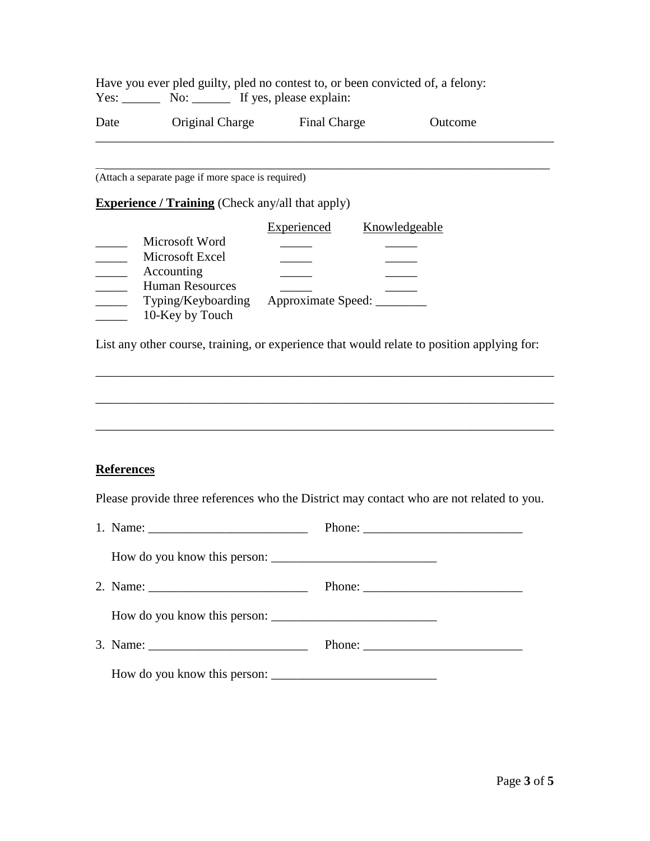|      |     | Have you ever pled guilty, pled no contest to, or been convicted of, a felony: |  |
|------|-----|--------------------------------------------------------------------------------|--|
| Yes: | No: | If yes, please explain:                                                        |  |

| Date | Original Charge | Final Charge | Outcome |  |
|------|-----------------|--------------|---------|--|
|------|-----------------|--------------|---------|--|

\_\_\_\_\_\_\_\_\_\_\_\_\_\_\_\_\_\_\_\_\_\_\_\_\_\_\_\_\_\_\_\_\_\_\_\_\_\_\_\_\_\_\_\_\_\_\_\_\_\_\_\_\_\_\_\_\_\_\_\_\_\_\_\_\_\_\_\_\_\_\_\_

\_\_\_\_\_\_\_\_\_\_\_\_\_\_\_\_\_\_\_\_\_\_\_\_\_\_\_\_\_\_\_\_\_\_\_\_\_\_\_\_\_\_\_\_\_\_\_\_\_\_\_\_\_\_\_\_\_\_\_\_\_\_\_\_\_\_\_\_\_\_\_\_

(Attach a separate page if more space is required)

**Experience / Training** (Check any/all that apply)

|                        | Experienced        | Knowledgeable |
|------------------------|--------------------|---------------|
| Microsoft Word         |                    |               |
| Microsoft Excel        |                    |               |
| Accounting             |                    |               |
| <b>Human Resources</b> |                    |               |
| Typing/Keyboarding     | Approximate Speed: |               |
| 10-Key by Touch        |                    |               |

List any other course, training, or experience that would relate to position applying for:

\_\_\_\_\_\_\_\_\_\_\_\_\_\_\_\_\_\_\_\_\_\_\_\_\_\_\_\_\_\_\_\_\_\_\_\_\_\_\_\_\_\_\_\_\_\_\_\_\_\_\_\_\_\_\_\_\_\_\_\_\_\_\_\_\_\_\_\_\_\_\_\_

\_\_\_\_\_\_\_\_\_\_\_\_\_\_\_\_\_\_\_\_\_\_\_\_\_\_\_\_\_\_\_\_\_\_\_\_\_\_\_\_\_\_\_\_\_\_\_\_\_\_\_\_\_\_\_\_\_\_\_\_\_\_\_\_\_\_\_\_\_\_\_\_

\_\_\_\_\_\_\_\_\_\_\_\_\_\_\_\_\_\_\_\_\_\_\_\_\_\_\_\_\_\_\_\_\_\_\_\_\_\_\_\_\_\_\_\_\_\_\_\_\_\_\_\_\_\_\_\_\_\_\_\_\_\_\_\_\_\_\_\_\_\_\_\_

# **References**

Please provide three references who the District may contact who are not related to you.

|  | Phone: $\frac{1}{\sqrt{1-\frac{1}{2}}\sqrt{1-\frac{1}{2}}\sqrt{1-\frac{1}{2}}\sqrt{1-\frac{1}{2}}\sqrt{1-\frac{1}{2}}\sqrt{1-\frac{1}{2}}\sqrt{1-\frac{1}{2}}\sqrt{1-\frac{1}{2}}\sqrt{1-\frac{1}{2}}\sqrt{1-\frac{1}{2}}\sqrt{1-\frac{1}{2}}\sqrt{1-\frac{1}{2}}\sqrt{1-\frac{1}{2}}\sqrt{1-\frac{1}{2}}\sqrt{1-\frac{1}{2}}\sqrt{1-\frac{1}{2}}\sqrt{1-\frac{1}{2}}\sqrt{1-\frac{1}{2}}\sqrt{1-\frac{1}{2$ |
|--|--------------------------------------------------------------------------------------------------------------------------------------------------------------------------------------------------------------------------------------------------------------------------------------------------------------------------------------------------------------------------------------------------------------|
|  |                                                                                                                                                                                                                                                                                                                                                                                                              |
|  |                                                                                                                                                                                                                                                                                                                                                                                                              |
|  |                                                                                                                                                                                                                                                                                                                                                                                                              |
|  |                                                                                                                                                                                                                                                                                                                                                                                                              |
|  |                                                                                                                                                                                                                                                                                                                                                                                                              |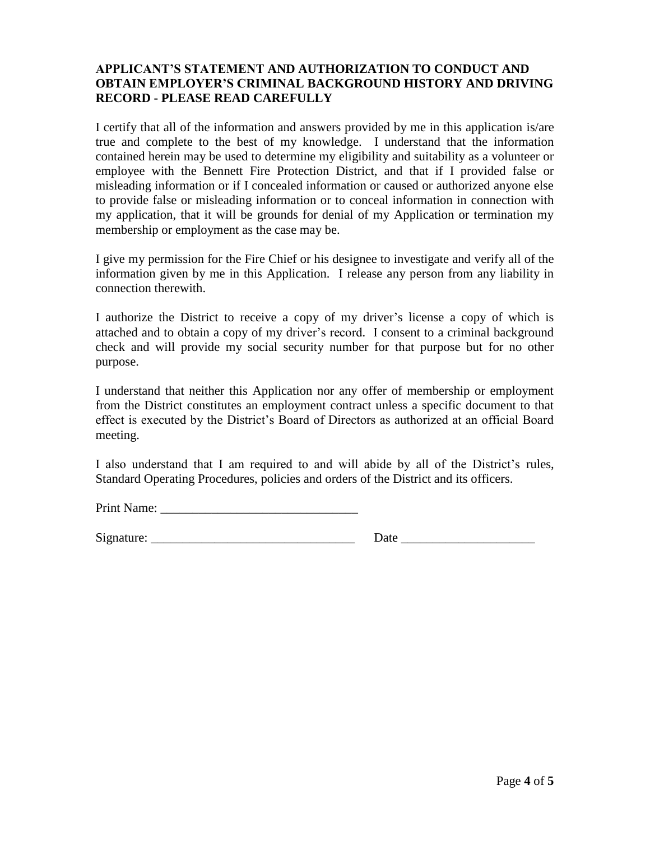## **APPLICANT'S STATEMENT AND AUTHORIZATION TO CONDUCT AND OBTAIN EMPLOYER'S CRIMINAL BACKGROUND HISTORY AND DRIVING RECORD - PLEASE READ CAREFULLY**

I certify that all of the information and answers provided by me in this application is/are true and complete to the best of my knowledge. I understand that the information contained herein may be used to determine my eligibility and suitability as a volunteer or employee with the Bennett Fire Protection District, and that if I provided false or misleading information or if I concealed information or caused or authorized anyone else to provide false or misleading information or to conceal information in connection with my application, that it will be grounds for denial of my Application or termination my membership or employment as the case may be.

I give my permission for the Fire Chief or his designee to investigate and verify all of the information given by me in this Application. I release any person from any liability in connection therewith.

I authorize the District to receive a copy of my driver's license a copy of which is attached and to obtain a copy of my driver's record. I consent to a criminal background check and will provide my social security number for that purpose but for no other purpose.

I understand that neither this Application nor any offer of membership or employment from the District constitutes an employment contract unless a specific document to that effect is executed by the District's Board of Directors as authorized at an official Board meeting.

I also understand that I am required to and will abide by all of the District's rules, Standard Operating Procedures, policies and orders of the District and its officers.

Print Name: \_\_\_\_\_\_\_\_\_\_\_\_\_\_\_\_\_\_\_\_\_\_\_\_\_\_\_\_\_\_\_

 $Signature: \n\begin{array}{ccc}\n\hline\n\end{array}$